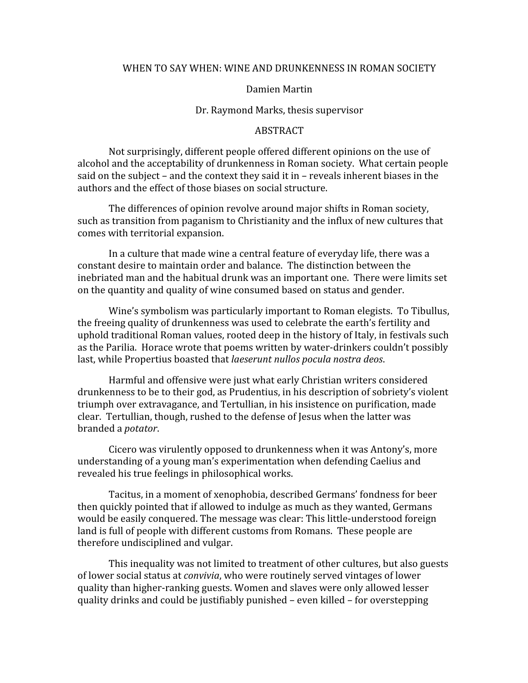## WHEN TO SAY WHEN: WINE AND DRUNKENNESS IN ROMAN SOCIETY

## Damien
Martin

## Dr.
Raymond
Marks,
thesis
supervisor

## **ABSTRACT**

Not
surprisingly,
different
people
offered
different
opinions
on
the
use
of alcohol
and
the
acceptability
of
drunkenness
in
Roman
society.

What
certain
people said on the subject – and the context they said it in – reveals inherent biases in the authors
and
the
effect
of
those
biases
on
social
structure.

The
differences
of
opinion
revolve
around
major
shifts
in
Roman
society, such
as
transition
from
paganism
to
Christianity
and
the
influx
of
new
cultures
that comes
with
territorial
expansion.

In a culture that made wine a central feature of everyday life, there was a constant
desire
to
maintain
order
and
balance.

The
distinction
between
the inebriated man and the habitual drunk was an important one. There were limits set on the quantity and quality of wine consumed based on status and gender.

Wine's symbolism was particularly important to Roman elegists. To Tibullus, the
freeing
quality
of
drunkenness
was
used
to
celebrate
the
earth's
fertility
and uphold traditional Roman values, rooted deep in the history of Italy, in festivals such as
the
Parilia.

Horace
wrote
that
poems
written
by
water‐drinkers
couldn't
possibly last,
while
Propertius
boasted
that *laeserunt
nullos
pocula
nostra
deos*.

Harmful
and
offensive
were
just
what
early
Christian
writers
considered drunkenness to be to their god, as Prudentius, in his description of sobriety's violent triumph over extravagance, and Tertullian, in his insistence on purification, made clear.

Tertullian,
though,
rushed
to
the
defense
of
Jesus
when
the
latter
was branded
a *potator*.

Cicero
was
virulently
opposed
to
drunkenness
when
it
was
Antony's,
more understanding of a young man's experimentation when defending Caelius and revealed
his
true
feelings
in
philosophical
works.

Tacitus,
in
a
moment
of
xenophobia,
described
Germans'
fondness
for
beer then
quickly
pointed
that
if
allowed
to
indulge
as
much
as
they
wanted,
Germans would be easily conquered. The message was clear: This little-understood foreign land is full of people with different customs from Romans. These people are therefore
undisciplined
and
vulgar.

This
inequality
was
not
limited
to
treatment
of
other
cultures,
but
also
guests of lower social status at *convivia*, who were routinely served vintages of lower quality
than
higher‐ranking
guests.
Women
and
slaves
were
only
allowed
lesser quality
drinks
and
could
be
justifiably
punished
–
even
killed
–
for
overstepping